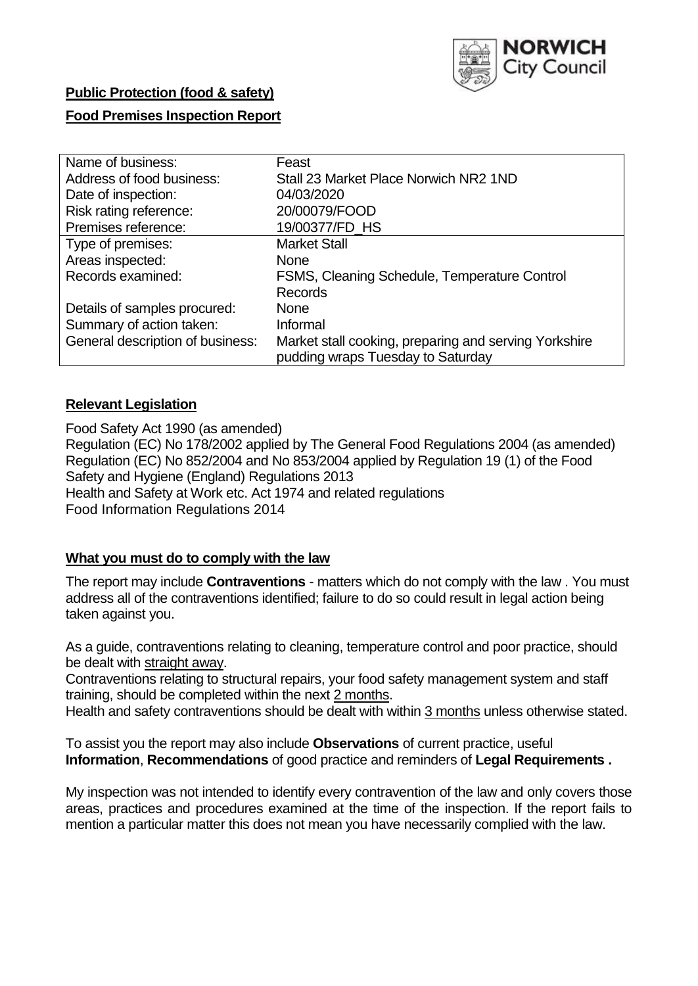

# **Public Protection (food & safety) Food Premises Inspection Report**

| Name of business:                | Feast                                                 |
|----------------------------------|-------------------------------------------------------|
| Address of food business:        | Stall 23 Market Place Norwich NR2 1ND                 |
| Date of inspection:              | 04/03/2020                                            |
| Risk rating reference:           | 20/00079/FOOD                                         |
| Premises reference:              | 19/00377/FD_HS                                        |
| Type of premises:                | <b>Market Stall</b>                                   |
| Areas inspected:                 | <b>None</b>                                           |
| Records examined:                | FSMS, Cleaning Schedule, Temperature Control          |
|                                  | <b>Records</b>                                        |
| Details of samples procured:     | <b>None</b>                                           |
| Summary of action taken:         | Informal                                              |
| General description of business: | Market stall cooking, preparing and serving Yorkshire |
|                                  | pudding wraps Tuesday to Saturday                     |

### **Relevant Legislation**

Food Safety Act 1990 (as amended) Regulation (EC) No 178/2002 applied by The General Food Regulations 2004 (as amended) Regulation (EC) No 852/2004 and No 853/2004 applied by Regulation 19 (1) of the Food Safety and Hygiene (England) Regulations 2013 Health and Safety at Work etc. Act 1974 and related regulations Food Information Regulations 2014

#### **What you must do to comply with the law**

The report may include **Contraventions** - matters which do not comply with the law . You must address all of the contraventions identified; failure to do so could result in legal action being taken against you.

As a guide, contraventions relating to cleaning, temperature control and poor practice, should be dealt with straight away.

Contraventions relating to structural repairs, your food safety management system and staff training, should be completed within the next 2 months.

Health and safety contraventions should be dealt with within 3 months unless otherwise stated.

To assist you the report may also include **Observations** of current practice, useful **Information**, **Recommendations** of good practice and reminders of **Legal Requirements .**

My inspection was not intended to identify every contravention of the law and only covers those areas, practices and procedures examined at the time of the inspection. If the report fails to mention a particular matter this does not mean you have necessarily complied with the law.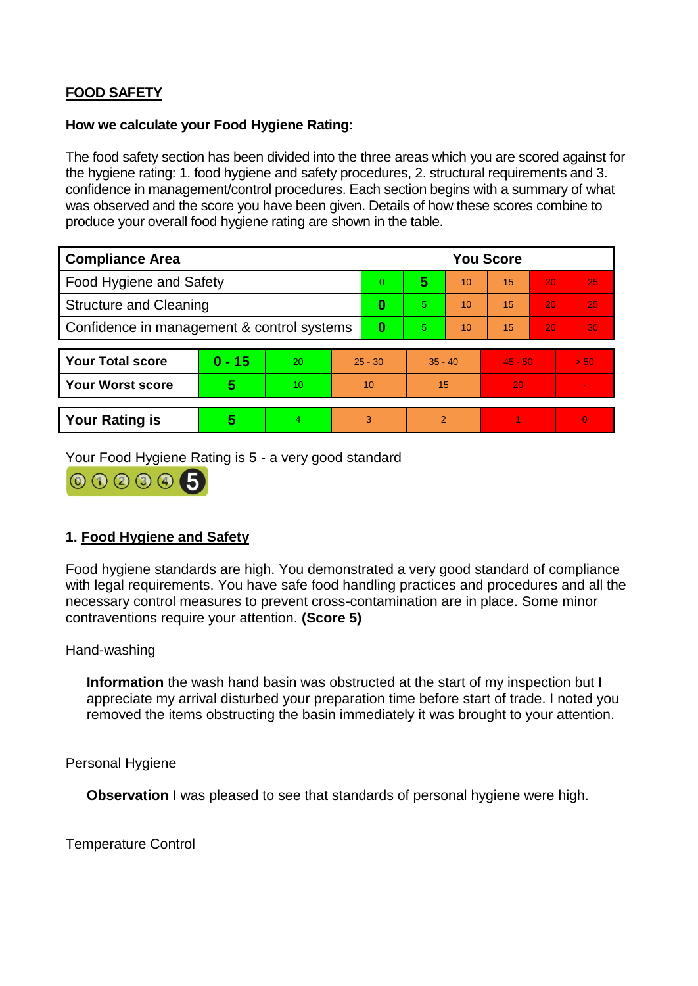## **FOOD SAFETY**

#### **How we calculate your Food Hygiene Rating:**

The food safety section has been divided into the three areas which you are scored against for the hygiene rating: 1. food hygiene and safety procedures, 2. structural requirements and 3. confidence in management/control procedures. Each section begins with a summary of what was observed and the score you have been given. Details of how these scores combine to produce your overall food hygiene rating are shown in the table.

| <b>Compliance Area</b>                     |                         |                  |           | <b>You Score</b> |                |    |           |    |                |  |  |
|--------------------------------------------|-------------------------|------------------|-----------|------------------|----------------|----|-----------|----|----------------|--|--|
| Food Hygiene and Safety                    |                         |                  | 0         | 5                | 10             | 15 | 20        | 25 |                |  |  |
| <b>Structure and Cleaning</b>              |                         |                  | $\bf{0}$  | 5                | 10             | 15 | 20        | 25 |                |  |  |
| Confidence in management & control systems |                         |                  | 0         | 5                | 10             | 15 | 20        | 30 |                |  |  |
|                                            |                         |                  |           |                  |                |    |           |    |                |  |  |
| <b>Your Total score</b>                    | $0 - 15$                | 20               | $25 - 30$ |                  | $35 - 40$      |    | $45 - 50$ |    | > 50           |  |  |
| <b>Your Worst score</b>                    | $\overline{\mathbf{5}}$ | 10 <sup>10</sup> | 10        |                  | 15             |    | 20        |    | $\blacksquare$ |  |  |
|                                            |                         |                  |           |                  |                |    |           |    |                |  |  |
| <b>Your Rating is</b>                      | 5                       | $\overline{4}$   | 3         |                  | $\overline{2}$ |    |           |    | $\overline{0}$ |  |  |

Your Food Hygiene Rating is 5 - a very good standard



### **1. Food Hygiene and Safety**

Food hygiene standards are high. You demonstrated a very good standard of compliance with legal requirements. You have safe food handling practices and procedures and all the necessary control measures to prevent cross-contamination are in place. Some minor contraventions require your attention. **(Score 5)**

#### Hand-washing

**Information** the wash hand basin was obstructed at the start of my inspection but I appreciate my arrival disturbed your preparation time before start of trade. I noted you removed the items obstructing the basin immediately it was brought to your attention.

#### Personal Hygiene

**Observation** I was pleased to see that standards of personal hygiene were high.

Temperature Control